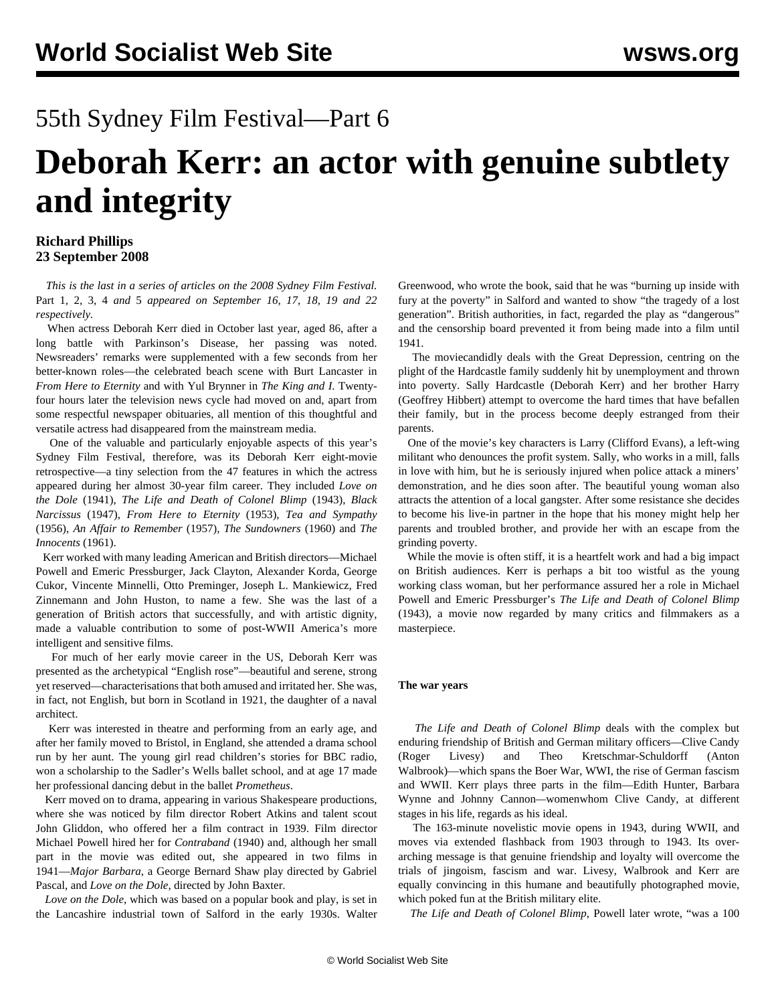## 55th Sydney Film Festival—Part 6

# **Deborah Kerr: an actor with genuine subtlety and integrity**

#### **Richard Phillips 23 September 2008**

 *This is the last in a series of articles on the 2008 Sydney Film Festival.* [Part 1](/en/articles/2008/sep2008/sff1-s16.shtml)*,* [2](/en/articles/2008/sep2008/sff2-s17.shtml)*,* [3](/en/articles/2008/sep2008/sff3-s18.shtml)*,* [4](/en/articles/2008/sep2008/sff4-s19.shtml) *and* [5](/en/articles/2008/sep2008/sff5-s22.shtml) *appeared on September 16, 17, 18, 19 and 22 respectively.*

 When actress Deborah Kerr died in October last year, aged 86, after a long battle with Parkinson's Disease, her passing was noted. Newsreaders' remarks were supplemented with a few seconds from her better-known roles—the celebrated beach scene with Burt Lancaster in *From Here to Eternity* and with Yul Brynner in *The King and I*. Twentyfour hours later the television news cycle had moved on and, apart from some respectful newspaper obituaries, all mention of this thoughtful and versatile actress had disappeared from the mainstream media.

 One of the valuable and particularly enjoyable aspects of this year's Sydney Film Festival, therefore, was its Deborah Kerr eight-movie retrospective—a tiny selection from the 47 features in which the actress appeared during her almost 30-year film career. They included *Love on the Dole* (1941), *The Life and Death of Colonel Blimp* (1943), *Black Narcissus* (1947), *From Here to Eternity* (1953), *Tea and Sympathy* (1956), *An Affair to Remember* (1957), *The Sundowners* (1960) and *The Innocents* (1961).

 Kerr worked with many leading American and British directors—Michael Powell and Emeric Pressburger, Jack Clayton, Alexander Korda, George Cukor, Vincente Minnelli, Otto Preminger, Joseph L. Mankiewicz, Fred Zinnemann and John Huston, to name a few. She was the last of a generation of British actors that successfully, and with artistic dignity, made a valuable contribution to some of post-WWII America's more intelligent and sensitive films.

 For much of her early movie career in the US, Deborah Kerr was presented as the archetypical "English rose"—beautiful and serene, strong yet reserved—characterisations that both amused and irritated her. She was, in fact, not English, but born in Scotland in 1921, the daughter of a naval architect.

 Kerr was interested in theatre and performing from an early age, and after her family moved to Bristol, in England, she attended a drama school run by her aunt. The young girl read children's stories for BBC radio, won a scholarship to the Sadler's Wells ballet school, and at age 17 made her professional dancing debut in the ballet *Prometheus*.

 Kerr moved on to drama, appearing in various Shakespeare productions, where she was noticed by film director Robert Atkins and talent scout John Gliddon, who offered her a film contract in 1939. Film director Michael Powell hired her for *Contraband* (1940) and, although her small part in the movie was edited out, she appeared in two films in 1941—*Major Barbara*, a George Bernard Shaw play directed by Gabriel Pascal, and *Love on the Dole*, directed by John Baxter.

 *Love on the Dole*, which was based on a popular book and play, is set in the Lancashire industrial town of Salford in the early 1930s. Walter

Greenwood, who wrote the book, said that he was "burning up inside with fury at the poverty" in Salford and wanted to show "the tragedy of a lost generation". British authorities, in fact, regarded the play as "dangerous" and the censorship board prevented it from being made into a film until 1941.

 The moviecandidly deals with the Great Depression, centring on the plight of the Hardcastle family suddenly hit by unemployment and thrown into poverty. Sally Hardcastle (Deborah Kerr) and her brother Harry (Geoffrey Hibbert) attempt to overcome the hard times that have befallen their family, but in the process become deeply estranged from their parents.

 One of the movie's key characters is Larry (Clifford Evans), a left-wing militant who denounces the profit system. Sally, who works in a mill, falls in love with him, but he is seriously injured when police attack a miners' demonstration, and he dies soon after. The beautiful young woman also attracts the attention of a local gangster. After some resistance she decides to become his live-in partner in the hope that his money might help her parents and troubled brother, and provide her with an escape from the grinding poverty.

 While the movie is often stiff, it is a heartfelt work and had a big impact on British audiences. Kerr is perhaps a bit too wistful as the young working class woman, but her performance assured her a role in Michael Powell and Emeric Pressburger's *The Life and Death of Colonel Blimp* (1943), a movie now regarded by many critics and filmmakers as a masterpiece.

#### **The war years**

 *The Life and Death of Colonel Blimp* deals with the complex but enduring friendship of British and German military officers—Clive Candy (Roger Livesy) and Theo Kretschmar-Schuldorff (Anton Walbrook)—which spans the Boer War, WWI, the rise of German fascism and WWII. Kerr plays three parts in the film—Edith Hunter, Barbara Wynne and Johnny Cannon*—*womenwhom Clive Candy, at different stages in his life, regards as his ideal.

 The 163-minute novelistic movie opens in 1943, during WWII, and moves via extended flashback from 1903 through to 1943. Its overarching message is that genuine friendship and loyalty will overcome the trials of jingoism, fascism and war. Livesy, Walbrook and Kerr are equally convincing in this humane and beautifully photographed movie, which poked fun at the British military elite.

*The Life and Death of Colonel Blimp*, Powell later wrote, "was a 100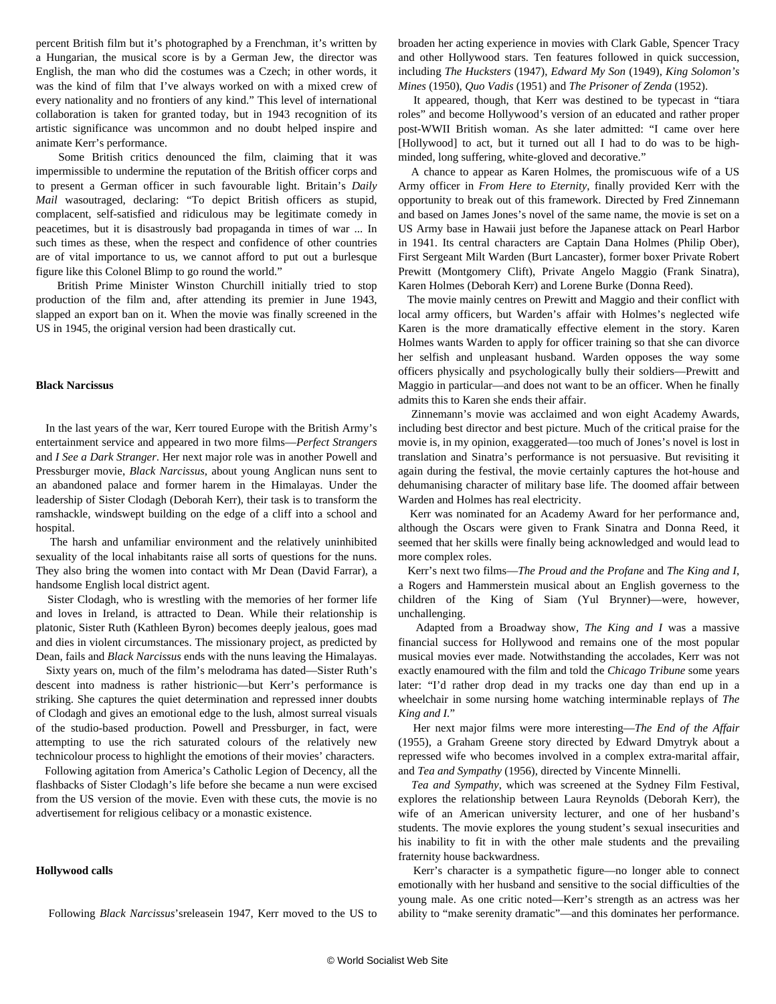percent British film but it's photographed by a Frenchman, it's written by a Hungarian, the musical score is by a German Jew, the director was English, the man who did the costumes was a Czech; in other words, it was the kind of film that I've always worked on with a mixed crew of every nationality and no frontiers of any kind." This level of international collaboration is taken for granted today, but in 1943 recognition of its artistic significance was uncommon and no doubt helped inspire and animate Kerr's performance.

 Some British critics denounced the film, claiming that it was impermissible to undermine the reputation of the British officer corps and to present a German officer in such favourable light. Britain's *Daily Mail* wasoutraged, declaring: "To depict British officers as stupid, complacent, self-satisfied and ridiculous may be legitimate comedy in peacetimes, but it is disastrously bad propaganda in times of war ... In such times as these, when the respect and confidence of other countries are of vital importance to us, we cannot afford to put out a burlesque figure like this Colonel Blimp to go round the world."

 British Prime Minister Winston Churchill initially tried to stop production of the film and, after attending its premier in June 1943, slapped an export ban on it. When the movie was finally screened in the US in 1945, the original version had been drastically cut.

#### **Black Narcissus**

 In the last years of the war, Kerr toured Europe with the British Army's entertainment service and appeared in two more films—*Perfect Strangers* and *I See a Dark Stranger*. Her next major role was in another Powell and Pressburger movie, *Black Narcissus*, about young Anglican nuns sent to an abandoned palace and former harem in the Himalayas. Under the leadership of Sister Clodagh (Deborah Kerr), their task is to transform the ramshackle, windswept building on the edge of a cliff into a school and hospital.

 The harsh and unfamiliar environment and the relatively uninhibited sexuality of the local inhabitants raise all sorts of questions for the nuns. They also bring the women into contact with Mr Dean (David Farrar), a handsome English local district agent.

 Sister Clodagh, who is wrestling with the memories of her former life and loves in Ireland, is attracted to Dean. While their relationship is platonic, Sister Ruth (Kathleen Byron) becomes deeply jealous, goes mad and dies in violent circumstances. The missionary project, as predicted by Dean, fails and *Black Narcissus* ends with the nuns leaving the Himalayas.

 Sixty years on, much of the film's melodrama has dated—Sister Ruth's descent into madness is rather histrionic—but Kerr's performance is striking. She captures the quiet determination and repressed inner doubts of Clodagh and gives an emotional edge to the lush, almost surreal visuals of the studio-based production. Powell and Pressburger, in fact, were attempting to use the rich saturated colours of the relatively new technicolour process to highlight the emotions of their movies' characters.

 Following agitation from America's Catholic Legion of Decency, all the flashbacks of Sister Clodagh's life before she became a nun were excised from the US version of the movie. Even with these cuts, the movie is no advertisement for religious celibacy or a monastic existence.

#### **Hollywood calls**

broaden her acting experience in movies with Clark Gable, Spencer Tracy and other Hollywood stars. Ten features followed in quick succession, including *The Hucksters* (1947), *Edward My Son* (1949), *King Solomon's Mines* (1950), *Quo Vadis* (1951) and *The Prisoner of Zenda* (1952).

 It appeared, though, that Kerr was destined to be typecast in "tiara roles" and become Hollywood's version of an educated and rather proper post-WWII British woman. As she later admitted: "I came over here [Hollywood] to act, but it turned out all I had to do was to be highminded, long suffering, white-gloved and decorative."

 A chance to appear as Karen Holmes, the promiscuous wife of a US Army officer in *From Here to Eternity*, finally provided Kerr with the opportunity to break out of this framework. Directed by Fred Zinnemann and based on James Jones's novel of the same name, the movie is set on a US Army base in Hawaii just before the Japanese attack on Pearl Harbor in 1941. Its central characters are Captain Dana Holmes (Philip Ober), First Sergeant Milt Warden (Burt Lancaster), former boxer Private Robert Prewitt (Montgomery Clift), Private Angelo Maggio (Frank Sinatra), Karen Holmes (Deborah Kerr) and Lorene Burke (Donna Reed).

 The movie mainly centres on Prewitt and Maggio and their conflict with local army officers, but Warden's affair with Holmes's neglected wife Karen is the more dramatically effective element in the story. Karen Holmes wants Warden to apply for officer training so that she can divorce her selfish and unpleasant husband. Warden opposes the way some officers physically and psychologically bully their soldiers—Prewitt and Maggio in particular—and does not want to be an officer. When he finally admits this to Karen she ends their affair.

 Zinnemann's movie was acclaimed and won eight Academy Awards, including best director and best picture. Much of the critical praise for the movie is, in my opinion, exaggerated—too much of Jones's novel is lost in translation and Sinatra's performance is not persuasive. But revisiting it again during the festival, the movie certainly captures the hot-house and dehumanising character of military base life. The doomed affair between Warden and Holmes has real electricity.

 Kerr was nominated for an Academy Award for her performance and, although the Oscars were given to Frank Sinatra and Donna Reed, it seemed that her skills were finally being acknowledged and would lead to more complex roles.

 Kerr's next two films—*The Proud and the Profane* and *The King and I*, a Rogers and Hammerstein musical about an English governess to the children of the King of Siam (Yul Brynner)—were, however, unchallenging.

 Adapted from a Broadway show, *The King and I* was a massive financial success for Hollywood and remains one of the most popular musical movies ever made. Notwithstanding the accolades, Kerr was not exactly enamoured with the film and told the *Chicago Tribune* some years later: "I'd rather drop dead in my tracks one day than end up in a wheelchair in some nursing home watching interminable replays of *The King and I.*"

 Her next major films were more interesting—*The End of the Affair* (1955), a Graham Greene story directed by Edward Dmytryk about a repressed wife who becomes involved in a complex extra-marital affair, and *Tea and Sympathy* (1956), directed by Vincente Minnelli.

 *Tea and Sympathy*, which was screened at the Sydney Film Festival, explores the relationship between Laura Reynolds (Deborah Kerr), the wife of an American university lecturer, and one of her husband's students. The movie explores the young student's sexual insecurities and his inability to fit in with the other male students and the prevailing fraternity house backwardness.

 Kerr's character is a sympathetic figure—no longer able to connect emotionally with her husband and sensitive to the social difficulties of the young male. As one critic noted—Kerr's strength as an actress was her ability to "make serenity dramatic"—and this dominates her performance.